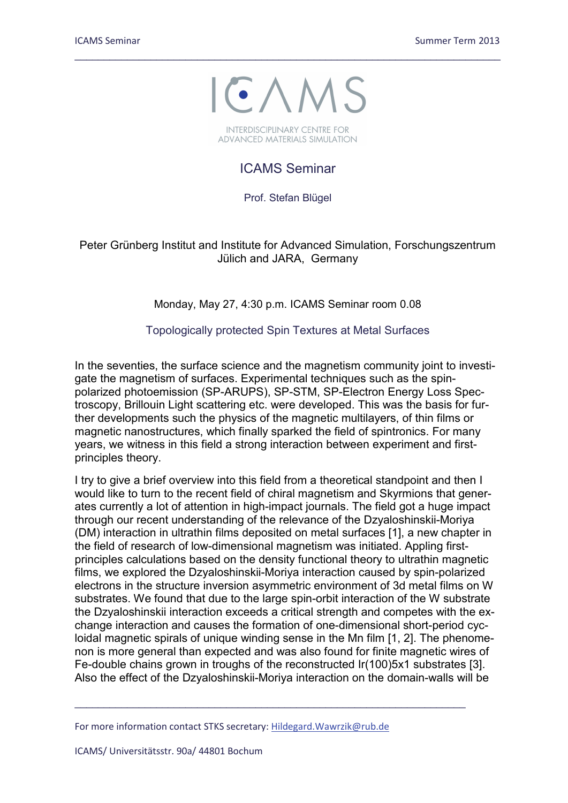

\_\_\_\_\_\_\_\_\_\_\_\_\_\_\_\_\_\_\_\_\_\_\_\_\_\_\_\_\_\_\_\_\_\_\_\_\_\_\_\_\_\_\_\_\_\_\_\_\_\_\_\_\_\_\_\_\_\_\_\_\_\_\_\_\_\_\_\_\_\_\_\_\_

**INTERDISCIPLINARY CENTRE FOR ADVANCED MATERIALS SIMULATION** 

## ICAMS Seminar

Prof. Stefan Blügel

Peter Grünberg Institut and Institute for Advanced Simulation, Forschungszentrum Jülich and JARA, Germany

## Monday, May 27, 4:30 p.m. ICAMS Seminar room 0.08

## Topologically protected Spin Textures at Metal Surfaces

In the seventies, the surface science and the magnetism community joint to investigate the magnetism of surfaces. Experimental techniques such as the spinpolarized photoemission (SP-ARUPS), SP-STM, SP-Electron Energy Loss Spectroscopy, Brillouin Light scattering etc. were developed. This was the basis for further developments such the physics of the magnetic multilayers, of thin films or magnetic nanostructures, which finally sparked the field of spintronics. For many years, we witness in this field a strong interaction between experiment and firstprinciples theory.

I try to give a brief overview into this field from a theoretical standpoint and then I would like to turn to the recent field of chiral magnetism and Skyrmions that generates currently a lot of attention in high-impact journals. The field got a huge impact through our recent understanding of the relevance of the Dzyaloshinskii-Moriya (DM) interaction in ultrathin films deposited on metal surfaces [1], a new chapter in the field of research of low-dimensional magnetism was initiated. Appling firstprinciples calculations based on the density functional theory to ultrathin magnetic films, we explored the Dzyaloshinskii-Moriya interaction caused by spin-polarized electrons in the structure inversion asymmetric environment of 3d metal films on W substrates. We found that due to the large spin-orbit interaction of the W substrate the Dzyaloshinskii interaction exceeds a critical strength and competes with the exchange interaction and causes the formation of one-dimensional short-period cycloidal magnetic spirals of unique winding sense in the Mn film [1, 2]. The phenomenon is more general than expected and was also found for finite magnetic wires of Fe-double chains grown in troughs of the reconstructed Ir(100)5x1 substrates [3]. Also the effect of the Dzyaloshinskii-Moriya interaction on the domain-walls will be

\_\_\_\_\_\_\_\_\_\_\_\_\_\_\_\_\_\_\_\_\_\_\_\_\_\_\_\_\_\_\_\_\_\_\_\_\_\_\_\_\_\_\_\_\_\_\_\_\_\_\_\_\_\_\_\_\_\_\_\_\_\_\_\_\_\_\_

For more information contact STKS secretary: [Hildegard.Wawrzik@rub.de](mailto:Hildegard.Wawrzik@rub.de)